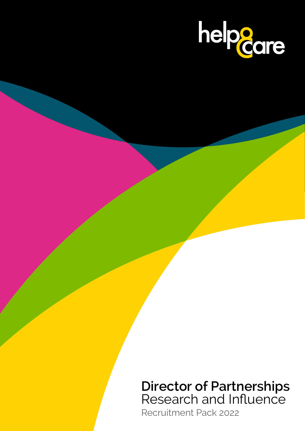

# **Director of Partnerships** Research and Influence

Recruitment Pack 2022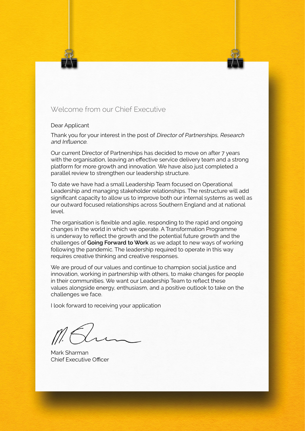## Welcome from our Chief Executive

#### Dear Applicant

Thank you for your interest in the post of Director of Partnerships, Research and Influence.

Our current Director of Partnerships has decided to move on after 7 years with the organisation, leaving an effective service delivery team and a strong platform for more growth and innovation. We have also just completed a parallel review to strengthen our leadership structure.

To date we have had a small Leadership Team focused on Operational Leadership and managing stakeholder relationships. The restructure will add significant capacity to allow us to improve both our internal systems as well as our outward focused relationships across Southern England and at national level.

The organisation is flexible and agile, responding to the rapid and ongoing changes in the world in which we operate. A Transformation Programme is underway to reflect the growth and the potential future growth and the challenges of **Going Forward to Work** as we adapt to new ways of working following the pandemic. The leadership required to operate in this way requires creative thinking and creative responses.

We are proud of our values and continue to champion social justice and innovation, working in partnership with others, to make changes for people in their communities. We want our Leadership Team to reflect these values alongside energy, enthusiasm, and a positive outlook to take on the challenges we face.

I look forward to receiving your application

Mark Sharman Chief Executive Officer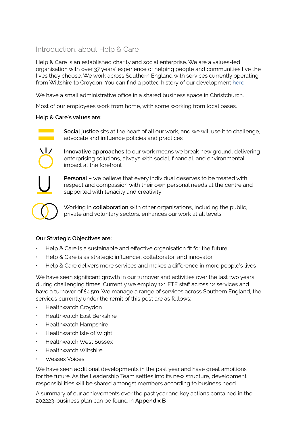# Introduction, about Help & Care

Help & Care is an established charity and social enterprise. We are a values-led organisation with over 37 years' experience of helping people and communities live the lives they choose. We work across Southern England with services currently operating from Wiltshire to Croydon. You can find a potted history of our development [here](https://www.helpandcare.org.uk/about-us/our-history/)

We have a small administrative office in a shared business space in Christchurch.

Most of our employees work from home, with some working from local bases.

#### **Help & Care's values are:**



**Social justice** sits at the heart of all our work, and we will use it to challenge, advocate and influence policies and practices



**Innovative approaches** to our work means we break new ground, delivering enterprising solutions, always with social, financial, and environmental impact at the forefront

**Personal –** we believe that every individual deserves to be treated with respect and compassion with their own personal needs at the centre and supported with tenacity and creativity



Working in **collaboration** with other organisations, including the public, private and voluntary sectors, enhances our work at all levels

#### **Our Strategic Objectives are:**

- Help & Care is a sustainable and effective organisation fit for the future
- Help & Care is as strategic influencer, collaborator, and innovator
- Help & Care delivers more services and makes a difference in more people's lives

We have seen significant growth in our turnover and activities over the last two years during challenging times. Currently we employ 121 FTE staff across 12 services and have a turnover of £4.5m. We manage a range of services across Southern England, the services currently under the remit of this post are as follows:

- Healthwatch Croydon
- Healthwatch East Berkshire
- Healthwatch Hampshire
- Healthwatch Isle of Wight
- Healthwatch West Sussex
- Healthwatch Wiltshire
- Wessex Voices

We have seen additional developments in the past year and have great ambitions for the future. As the Leadership Team settles into its new structure, development responsibilities will be shared amongst members according to business need.

A summary of our achievements over the past year and key actions contained in the 202223-business plan can be found in **Appendix B**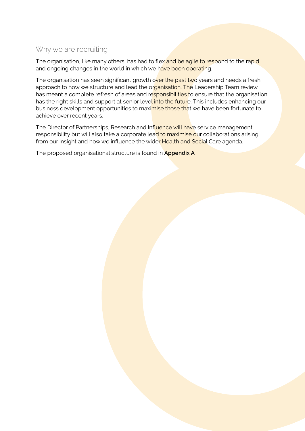### Why we are recruiting

The organisation, like many others, has had to flex and be agile to respond to the rapid and ongoing changes in the world in which we have been operating.

The organisation has seen significant growth over the past two years and needs a fresh approach to how we structure and lead the organisation. The Leadership Team review has meant a complete refresh of areas and responsibilities to ensure that the organisation has the right skills and support at senior level into the future. This includes enhancing our business development opportunities to maximise those that we have been fortunate to achieve over recent years.

The Director of Partnerships, Research and Influence will have service management responsibility but will also take a corporate lead to maximise our collaborations arising from our insight and how we influence the wider Health and Social Care agenda.

The proposed organisational structure is found in **Appendix A**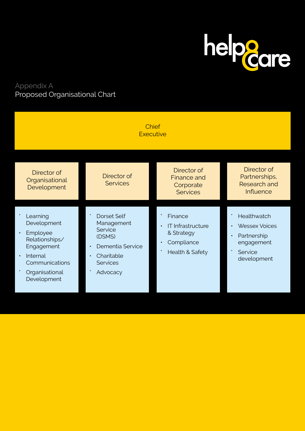

# Appendix A Proposed Organisational Chart

| <b>Chief</b><br><b>Executive</b>                                                                                                                             |                                                                                                                                                  |                                                                                    |                                                                                            |
|--------------------------------------------------------------------------------------------------------------------------------------------------------------|--------------------------------------------------------------------------------------------------------------------------------------------------|------------------------------------------------------------------------------------|--------------------------------------------------------------------------------------------|
| Director of<br>Organisational<br>Development                                                                                                                 | Director of<br><b>Services</b>                                                                                                                   | Director of<br>Finance and<br>Corporate<br><b>Services</b>                         | Director of<br>Partnerships,<br><b>Research and</b><br><b>Influence</b>                    |
| Learning<br>Development<br>Employee<br>$\bullet$<br>Relationships/<br>Engagement<br>Internal<br>$\bullet$<br>Communications<br>Organisational<br>Development | <b>Dorset Self</b><br>Management<br>Service<br>(DSMS)<br>Dementia Service<br>$\bullet$<br>Charitable<br>$\bullet$<br><b>Services</b><br>Advocacy | Finance<br><b>IT Infrastructure</b><br>& Strategy<br>Compliance<br>Health & Safety | Healthwatch<br><b>Wessex Voices</b><br>Partnership<br>engagement<br>Service<br>development |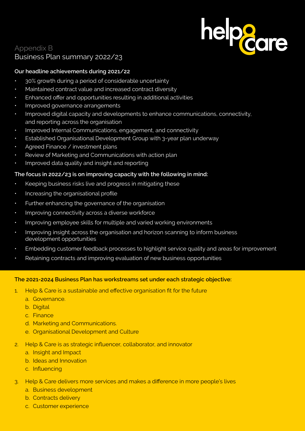# Appendix B Business Plan summary 2022/23

# **Our headline achievements during 2021/22**

- 30% growth during a period of considerable uncertainty
- Maintained contract value and increased contract diversity
- Enhanced offer and opportunities resulting in additional activities
- Improved governance arrangements
- Improved digital capacity and developments to enhance communications, connectivity, and reporting across the organisation

helpe<sub>care</sub>

- Improved Internal Communications, engagement, and connectivity
- Established Organisational Development Group with 3-year plan underway
- Agreed Finance / investment plans
- Review of Marketing and Communications with action plan
- Improved data quality and insight and reporting

#### **The focus in 2022/23 is on improving capacity with the following in mind:**

- Keeping business risks live and progress in mitigating these
- Increasing the organisational profile
- Further enhancing the governance of the organisation
- Improving connectivity across a diverse workforce
- Improving employee skills for multiple and varied working environments
- Improving insight across the organisation and horizon scanning to inform business development opportunities
- Embedding customer feedback processes to highlight service quality and areas for improvement
- Retaining contracts and improving evaluation of new business opportunities

#### **The 2021-2024 Business Plan has workstreams set under each strategic objective:**

- 1. Help & Care is a sustainable and effective organisation fit for the future
	- a. Governance.
	- b. Digital
	- c. Finance
	- d. Marketing and Communications.
	- e. Organisational Development and Culture
- 2. Help & Care is as strategic influencer, collaborator, and innovator
	- a. Insight and Impact
	- b. Ideas and Innovation
	- c. Influencing
- 3. Help & Care delivers more services and makes a difference in more people's lives
	- a. Business development
	- b. Contracts delivery
	- c. Customer experience